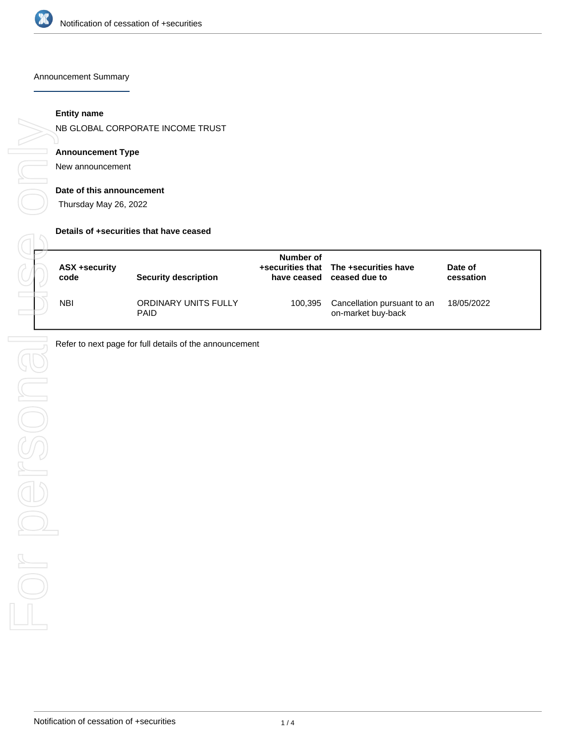

Announcement Summary

#### **Entity name**

NB GLOBAL CORPORATE INCOME TRUST

## **Announcement Type**

New announcement

#### **Date of this announcement**

Thursday May 26, 2022

#### **Details of +securities that have ceased**

| ASX +security<br>code | <b>Security description</b>         | Number of<br>have ceased | +securities that The +securities have<br>ceased due to | Date of<br>cessation |
|-----------------------|-------------------------------------|--------------------------|--------------------------------------------------------|----------------------|
| <b>NBI</b>            | ORDINARY UNITS FULLY<br><b>PAID</b> | 100,395                  | Cancellation pursuant to an<br>on-market buy-back      | 18/05/2022           |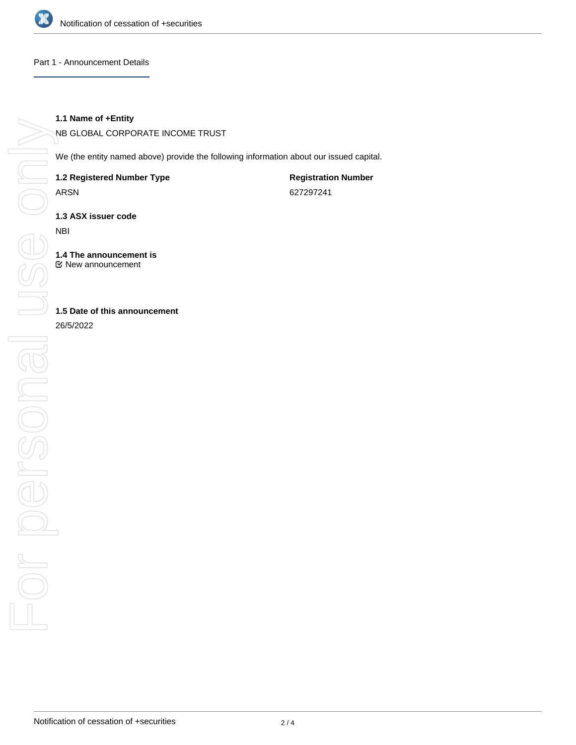

#### Part 1 - Announcement Details

### **1.1 Name of +Entity**

NB GLOBAL CORPORATE INCOME TRUST

We (the entity named above) provide the following information about our issued capital.

**1.2 Registered Number Type**

ARSN

**Registration Number** 627297241

**1.3 ASX issuer code**

NBI

**1.4 The announcement is** New announcement

**1.5 Date of this announcement**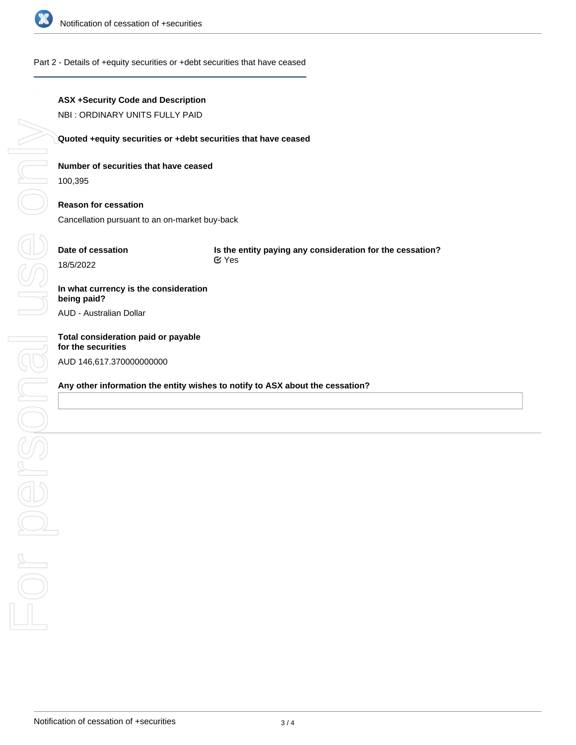

## Part 2 - Details of +equity securities or +debt securities that have ceased

## **ASX +Security Code and Description**

NBI : ORDINARY UNITS FULLY PAID

## **Quoted +equity securities or +debt securities that have ceased**

## **Number of securities that have ceased**

100,395

# **Reason for cessation**

Cancellation pursuant to an on-market buy-back

# **Date of cessation**

**Is the entity paying any consideration for the cessation?** Yes

# **In what currency is the consideration being paid?**

AUD - Australian Dollar

# **Total consideration paid or payable** AUD 146,617.370000000000

## **Any other information the entity wishes to notify to ASX about the cessation?**